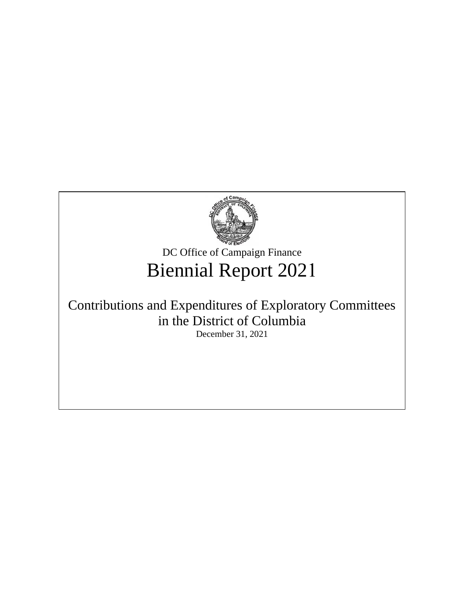

DC Office of Campaign Finance Biennial Report 2021

# Contributions and Expenditures of Exploratory Committees in the District of Columbia

December 31, 2021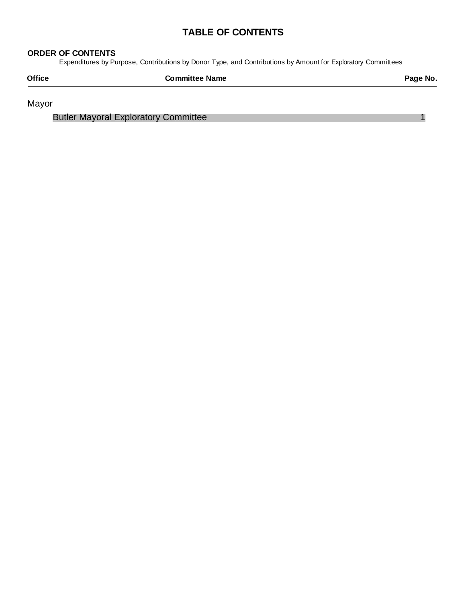## **TABLE OF CONTENTS**

#### **ORDER OF CONTENTS**

Expenditures by Purpose, Contributions by Donor Type, and Contributions by Amount for Exploratory Committees

| <b>Office</b> | <b>Committee Name</b> | Page No. |
|---------------|-----------------------|----------|
|               |                       |          |

Mayor

Butler Mayoral Exploratory Committee 1 and 1 and 1 and 1 and 1 and 1 and 1 and 1 and 1 and 1 and 1 and 1 and 1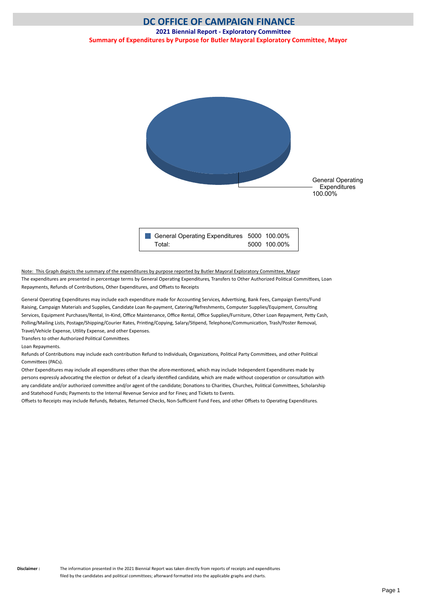<span id="page-2-0"></span>

Note: This Graph depicts the summary of the expenditures by purpose reported by Butler Mayoral Exploratory Committee, Mayor The expenditures are presented in percentage terms by General Operating Expenditures, Transfers to Other Authorized Political Committees, Loan Repayments, Refunds of Contributions, Other Expenditures, and Offsets to Receipts

General Operating Expenditures may include each expenditure made for Accounting Services, Advertising, Bank Fees, Campaign Events/Fund Raising, Campaign Materials and Supplies, Candidate Loan Re-payment, Catering/Refreshments, Computer Supplies/Equipment, Consulting Services, Equipment Purchases/Rental, In-Kind, Office Maintenance, Office Rental, Office Supplies/Furniture, Other Loan Repayment, Petty Cash, Polling/Mailing Lists, Postage/Shipping/Courier Rates, Printng/Copying, Salary/Stpend, Telephone/Communicaton, Trash/Poster Removal, Travel/Vehicle Expense, Utlity Expense, and other Expenses.

Transfers to other Authorized Political Committees.

Loan Repayments.

Refunds of Contributions may include each contribution Refund to Individuals, Organizations, Political Party Committees, and other Political Commitees (PACs).

Other Expenditures may include all expenditures other than the afore-mentoned, which may include Independent Expenditures made by persons expressly advocating the election or defeat of a clearly identified candidate, which are made without cooperation or consultation with any candidate and/or authorized committee and/or agent of the candidate; Donations to Charities, Churches, Political Committees, Scholarship and Statehood Funds; Payments to the Internal Revenue Service and for Fines; and Tickets to Events.

Offsets to Receipts may include Refunds, Rebates, Returned Checks, Non-Sufficient Fund Fees, and other Offsets to Operating Expenditures.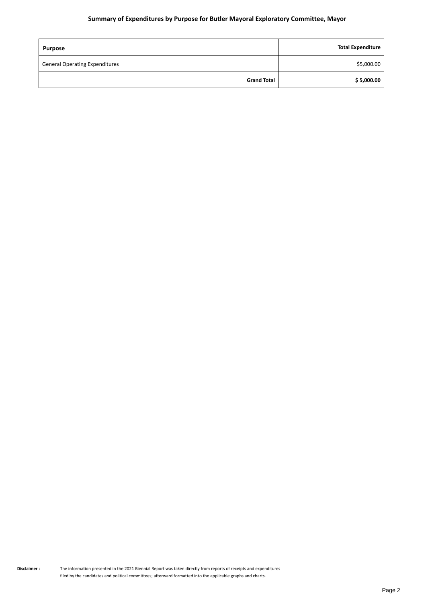#### **Summary of Expenditures by Purpose for Butler Mayoral Exploratory Committee, Mayor**

| <b>Purpose</b>                        | <b>Total Expenditure</b> |
|---------------------------------------|--------------------------|
| <b>General Operating Expenditures</b> | \$5,000.00               |
| <b>Grand Total</b>                    | \$5,000.00               |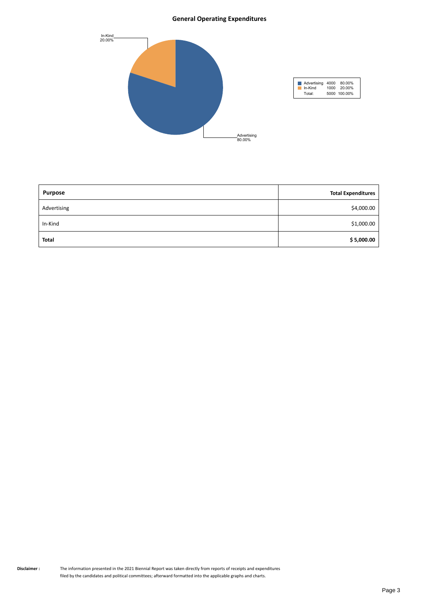#### **General Operating Expenditures**



| <b>Purpose</b> | <b>Total Expenditures</b> |
|----------------|---------------------------|
| Advertising    | \$4,000.00                |
| In-Kind        | \$1,000.00                |
| <b>Total</b>   | \$5,000.00                |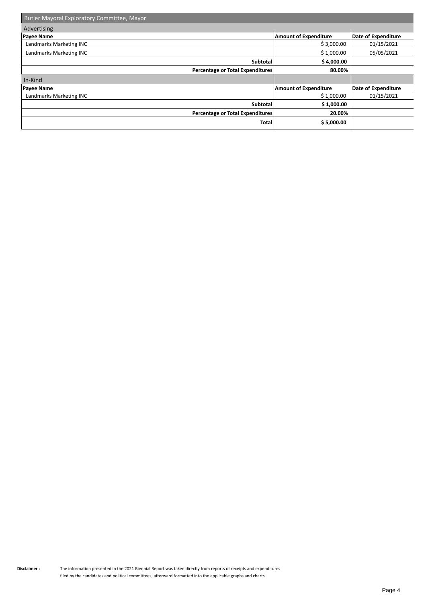| Butler Mayoral Exploratory Committee, Mayor |                              |                     |
|---------------------------------------------|------------------------------|---------------------|
| Advertising                                 |                              |                     |
| <b>Payee Name</b>                           | <b>Amount of Expenditure</b> | Date of Expenditure |
| Landmarks Marketing INC                     | \$3,000.00                   | 01/15/2021          |
| Landmarks Marketing INC                     | \$1,000.00                   | 05/05/2021          |
| Subtotal                                    | \$4,000.00                   |                     |
| Percentage or Total Expenditures            | 80.00%                       |                     |
| In-Kind                                     |                              |                     |
| <b>Payee Name</b>                           | <b>Amount of Expenditure</b> | Date of Expenditure |
| Landmarks Marketing INC                     | \$1,000.00                   | 01/15/2021          |
| Subtotal                                    | \$1,000.00                   |                     |
| Percentage or Total Expenditures            | 20.00%                       |                     |
| <b>Total</b>                                | \$5,000.00                   |                     |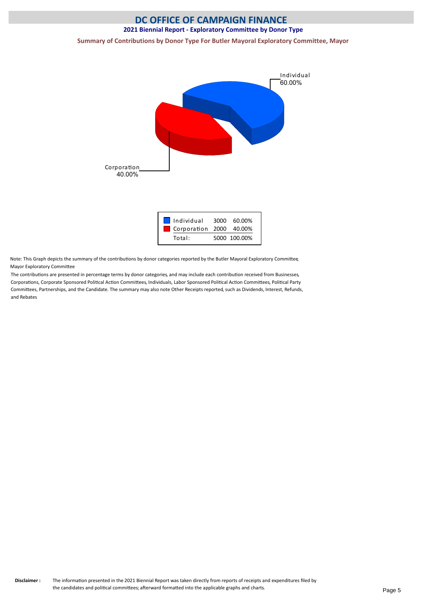## **DC OFFICE OF CAMPAIGN FINANCE**

#### **2021 Biennial Report - Exploratory Committee by Donor Type**

**Summary of Contributions by Donor Type For Butler Mayoral Exploratory Committee, Mayor**



| Individual              | 3000 60.00%  |
|-------------------------|--------------|
| Corporation 2000 40.00% |              |
| Total:                  | 5000 100.00% |

Note: This Graph depicts the summary of the contributons by donor categories reported by the Butler Mayoral Exploratory Commitee, Mayor Exploratory Commitee

The contributons are presented in percentage terms by donor categories, and may include each contributon received from Businesses, Corporatons, Corporate Sponsored Politcal Acton Commitees, Individuals, Labor Sponsored Politcal Acton Commitees, Politcal Party Commitees, Partnerships, and the Candidate. The summary may also note Other Receipts reported, such as Dividends, Interest, Refunds, and Rebates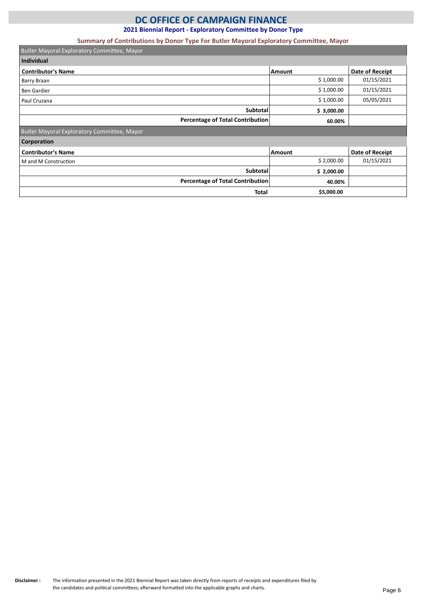### **DC OFFICE OF CAMPAIGN FINANCE**

**2021 Biennial Report - Exploratory Committee by Donor Type**

#### **Summary of Contributions by Donor Type For Butler Mayoral Exploratory Committee, Mayor**

| Butler Mayoral Exploratory Committee, Mayor |            |                 |
|---------------------------------------------|------------|-----------------|
| Individual                                  |            |                 |
| <b>Contributor's Name</b>                   | Amount     | Date of Receipt |
| Barry Braan                                 | \$1,000.00 | 01/15/2021      |
| <b>Ben Gardier</b>                          | \$1,000.00 | 01/15/2021      |
| Paul Cruzana                                | \$1,000.00 | 05/05/2021      |
| <b>Subtotal</b>                             | \$3,000.00 |                 |
| Percentage of Total Contribution            | 60.00%     |                 |
| Butler Mayoral Exploratory Committee, Mayor |            |                 |
| <b>Corporation</b>                          |            |                 |
| <b>Contributor's Name</b>                   | Amount     | Date of Receipt |
| M and M Construction                        | \$2,000.00 | 01/15/2021      |
| <b>Subtotal</b>                             | \$2,000.00 |                 |
| Percentage of Total Contribution            | 40.00%     |                 |
| <b>Total</b>                                | \$5,000.00 |                 |